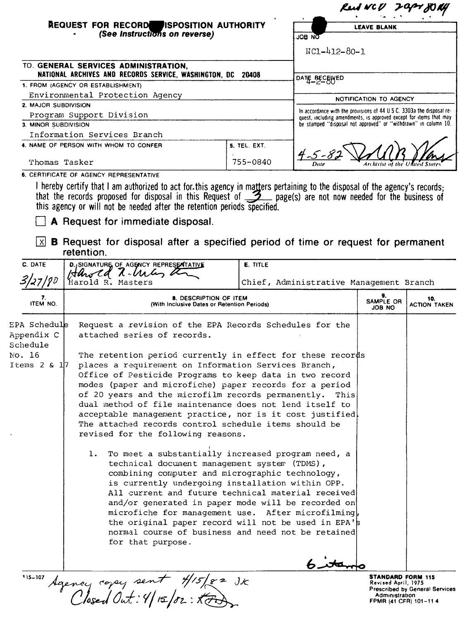| REQUEST FOR RECORDE ISPOSITION AUTHORITY                    | <b>LEAVE BLANK</b>                                                                                                                          |
|-------------------------------------------------------------|---------------------------------------------------------------------------------------------------------------------------------------------|
|                                                             | <b>JOB NO</b>                                                                                                                               |
|                                                             | $NC1 - 412 - 80 - 1$                                                                                                                        |
| NATIONAL ARCHIVES AND RECORDS SERVICE, WASHINGTON, DC 20408 |                                                                                                                                             |
|                                                             | <b>DATE_BECEWED</b>                                                                                                                         |
|                                                             | NOTIFICATION TO AGENCY                                                                                                                      |
|                                                             |                                                                                                                                             |
|                                                             | In accordance with the provisions of 44 U.S.C. 3303a the disposal re-<br>quest, including amendments, is approved except for items that may |
|                                                             | be stamped "disposal not approved" or "withdrawn" in column 10.                                                                             |
|                                                             |                                                                                                                                             |
| 5. TEL. EXT.                                                | $4 - 5 - 82$                                                                                                                                |
| 755-0840                                                    | Archivist of the United State<br>Date                                                                                                       |
|                                                             |                                                                                                                                             |

**6. CERTIFICATE OF AGENCY REPRESENTATIVE** 

I hereby certify that I am authorized to act for this agency in matters pertaining to the disposal of the agency's records; that the records proposed for disposal in this Request of \_\_\_\_\_\_\_ page(s) are not now needed for the business of this agency or will not be needed after the retention periods specified.

o **<sup>A</sup> Request for immediate disposal.**

**~ B Request for disposal after a specified period of time or request for permanent retention.**

| C. DATE                                                                 | D. SIGNATURE, OF AGENCY REPRESENTATIVE<br>Harold N. Unley a                                                                                                                                                                                                                                                                                                                                                                                                                                                                                                                                                                                                                                                                                                                                                                                                                                                                                                                                                                                                                                                                               | <b>E. TITLE</b>                         |                                                 |                                       |
|-------------------------------------------------------------------------|-------------------------------------------------------------------------------------------------------------------------------------------------------------------------------------------------------------------------------------------------------------------------------------------------------------------------------------------------------------------------------------------------------------------------------------------------------------------------------------------------------------------------------------------------------------------------------------------------------------------------------------------------------------------------------------------------------------------------------------------------------------------------------------------------------------------------------------------------------------------------------------------------------------------------------------------------------------------------------------------------------------------------------------------------------------------------------------------------------------------------------------------|-----------------------------------------|-------------------------------------------------|---------------------------------------|
| 3/27/90                                                                 | Harold R. Masters                                                                                                                                                                                                                                                                                                                                                                                                                                                                                                                                                                                                                                                                                                                                                                                                                                                                                                                                                                                                                                                                                                                         | Chief, Administrative Management Branch |                                                 |                                       |
| 7.<br>ITEM NO.                                                          | 8. DESCRIPTION OF ITEM<br>(With Inclusive Dates or Retention Periods)                                                                                                                                                                                                                                                                                                                                                                                                                                                                                                                                                                                                                                                                                                                                                                                                                                                                                                                                                                                                                                                                     |                                         | 9.<br>SAMPLE OR<br>JOB NO                       | 10.<br>ACTION TAKEN                   |
| EPA Schedule<br>Appendix C<br>Schedule<br>No. 16<br>Items $2 \times 17$ | Request a revision of the EPA Records Schedules for the<br>attached series of records.<br>The retention period currently in effect for these records<br>places a requirement on Information Services Branch,<br>Office of Pesticide Programs to keep data in two record<br>modes (paper and microfiche) paper records for a period<br>of 20 years and the microfilm records permanently. This<br>dual method of file maintenance does not lend itself to<br>acceptable management practice, nor is it cost justified<br>The attached records control schedule items should be<br>revised for the following reasons.<br>To meet a substantially increased program need, a<br>1.<br>technical document management system (TDMS),<br>combining computer and micrographic technology,<br>is currently undergoing installation within OPP.<br>All current and future technical material received<br>and/or generated in paper mode will be recorded on<br>microfiche for management use. After microfilming,<br>the original paper record will not be used in EPA's<br>normal course of business and need not be retained<br>for that purpose. |                                         |                                                 |                                       |
| 115-107                                                                 | Agency copy sent 4/15/82 JK                                                                                                                                                                                                                                                                                                                                                                                                                                                                                                                                                                                                                                                                                                                                                                                                                                                                                                                                                                                                                                                                                                               |                                         | <b>STANDARD FORM 115</b><br>Revised April, 1975 | <b>Prescribed by General Services</b> |
|                                                                         |                                                                                                                                                                                                                                                                                                                                                                                                                                                                                                                                                                                                                                                                                                                                                                                                                                                                                                                                                                                                                                                                                                                                           |                                         | Administration<br>FPMR (41 CFR) 101-114         |                                       |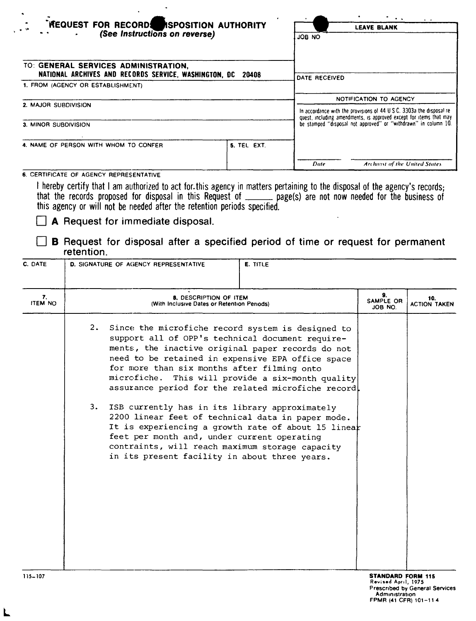| <b>REQUEST FOR RECORDS REPOSITION AUTHORITY</b><br>$\cdot$ $\cdot$<br>(See Instructions on reverse)                                         |             | $\bullet$<br><b>LEAVE BLANK</b><br>ON BOL                                                                                                   |  |
|---------------------------------------------------------------------------------------------------------------------------------------------|-------------|---------------------------------------------------------------------------------------------------------------------------------------------|--|
|                                                                                                                                             |             |                                                                                                                                             |  |
| TO: GENERAL SERVICES ADMINISTRATION,<br>NATIONAL ARCHIVES AND RECORDS SERVICE, WASHINGTON, DC<br>20408<br>1. FROM (AGENCY OR ESTABLISHMENT) |             |                                                                                                                                             |  |
|                                                                                                                                             |             | DATE RECEIVED                                                                                                                               |  |
|                                                                                                                                             |             | NOTIFICATION TO AGENCY                                                                                                                      |  |
| 2. MAJOR SUBDIVISION                                                                                                                        |             | In accordance with the provisions of 44 U.S.C. 3303a the disposal re-<br>quest, including amendments, is approved except for items that may |  |
| 3. MINOR SUBDIVISION                                                                                                                        |             | be stamped "disposal not approved" or "withdrawn" in column 10.                                                                             |  |
| 4. NAME OF PERSON WITH WHOM TO CONFER                                                                                                       | 5. TEL EXT. |                                                                                                                                             |  |
|                                                                                                                                             |             | Date<br>Archivist of the United States                                                                                                      |  |

## 6. CERTIFICATE OF AGENCY REPRESENTATIVE

l

I hereby certify that I am authorized to act for. this agency in matters pertaining to the disposal of the agency's records; that the records proposed for disposal in this Request of \_\_\_\_\_\_\_ page(s) are not now needed for the business of this agency or will not be needed after the retention periods specified.

## $\Box$  A Request for immediate disposal.

**B** Request for disposal after a specified period of time or request for permanent retention.

| C. DATE              |          | <b>D. SIGNATURE OF AGENCY REPRESENTATIVE</b>                                               | E. TITLE                                                                                                                                                                                                                                                                                                                                                                                                                                                                                                                                                                                      |                                                 |                                       |
|----------------------|----------|--------------------------------------------------------------------------------------------|-----------------------------------------------------------------------------------------------------------------------------------------------------------------------------------------------------------------------------------------------------------------------------------------------------------------------------------------------------------------------------------------------------------------------------------------------------------------------------------------------------------------------------------------------------------------------------------------------|-------------------------------------------------|---------------------------------------|
| 7.<br><b>ITEM NO</b> |          | 8. DESCRIPTION OF ITEM<br>(With Inclusive Dates or Retention Periods)                      |                                                                                                                                                                                                                                                                                                                                                                                                                                                                                                                                                                                               | 9.<br>SAMPLE OR<br>JOB NO.                      | 10.<br><b>ACTION TAKEN</b>            |
|                      | 2.<br>3. | for more than six months after filming onto<br>feet per month and, under current operating | Since the microfiche record system is designed to<br>support all of OPP's technical document require-<br>ments, the inactive original paper records do not<br>need to be retained in expensive EPA office space<br>microfiche. This will provide a six-month quality<br>assurance period for the related microfiche record.<br>ISB currently has in its library approximately<br>2200 linear feet of technical data in paper mode.<br>It is experiencing a growth rate of about 15 linear<br>contraints, will reach maximum storage capacity<br>in its present facility in about three years. |                                                 |                                       |
| $115 - 107$          |          |                                                                                            |                                                                                                                                                                                                                                                                                                                                                                                                                                                                                                                                                                                               | <b>STANDARD FORM 115</b><br>Revised April, 1975 | <b>Prescribed by General Services</b> |